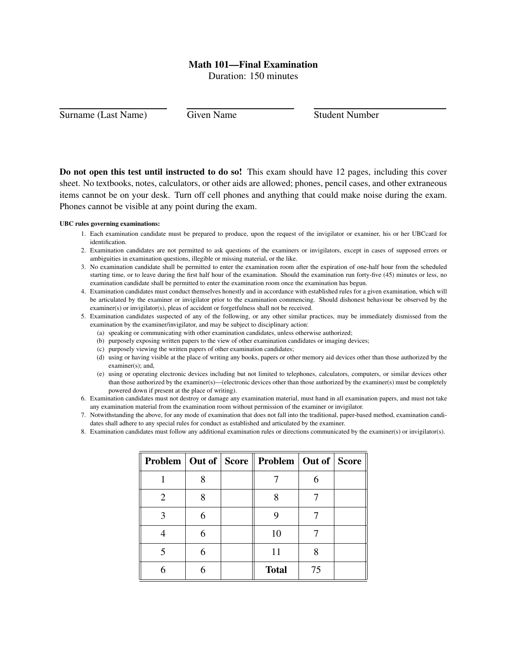## Math 101—Final Examination

Duration: 150 minutes

Surname (Last Name) Given Name Student Number

Do not open this test until instructed to do so! This exam should have 12 pages, including this cover sheet. No textbooks, notes, calculators, or other aids are allowed; phones, pencil cases, and other extraneous items cannot be on your desk. Turn off cell phones and anything that could make noise during the exam. Phones cannot be visible at any point during the exam.

## UBC rules governing examinations:

- 1. Each examination candidate must be prepared to produce, upon the request of the invigilator or examiner, his or her UBCcard for identification.
- 2. Examination candidates are not permitted to ask questions of the examiners or invigilators, except in cases of supposed errors or ambiguities in examination questions, illegible or missing material, or the like.
- 3. No examination candidate shall be permitted to enter the examination room after the expiration of one-half hour from the scheduled starting time, or to leave during the first half hour of the examination. Should the examination run forty-five (45) minutes or less, no examination candidate shall be permitted to enter the examination room once the examination has begun.
- 4. Examination candidates must conduct themselves honestly and in accordance with established rules for a given examination, which will be articulated by the examiner or invigilator prior to the examination commencing. Should dishonest behaviour be observed by the examiner(s) or invigilator(s), pleas of accident or forgetfulness shall not be received.
- 5. Examination candidates suspected of any of the following, or any other similar practices, may be immediately dismissed from the examination by the examiner/invigilator, and may be subject to disciplinary action:
	- (a) speaking or communicating with other examination candidates, unless otherwise authorized;
	- (b) purposely exposing written papers to the view of other examination candidates or imaging devices;
	- (c) purposely viewing the written papers of other examination candidates;
	- (d) using or having visible at the place of writing any books, papers or other memory aid devices other than those authorized by the examiner(s); and,
	- (e) using or operating electronic devices including but not limited to telephones, calculators, computers, or similar devices other than those authorized by the examiner(s)—(electronic devices other than those authorized by the examiner(s) must be completely powered down if present at the place of writing).
- 6. Examination candidates must not destroy or damage any examination material, must hand in all examination papers, and must not take any examination material from the examination room without permission of the examiner or invigilator.
- 7. Notwithstanding the above, for any mode of examination that does not fall into the traditional, paper-based method, examination candidates shall adhere to any special rules for conduct as established and articulated by the examiner.
- 8. Examination candidates must follow any additional examination rules or directions communicated by the examiner(s) or invigilator(s).

|   |   | Problem   Out of   Score    Problem   Out of   Score |    |  |
|---|---|------------------------------------------------------|----|--|
|   |   |                                                      |    |  |
| 2 |   |                                                      |    |  |
|   | 6 |                                                      |    |  |
|   | 6 | 10                                                   |    |  |
|   | 6 | 11                                                   |    |  |
|   |   | <b>Total</b>                                         | 75 |  |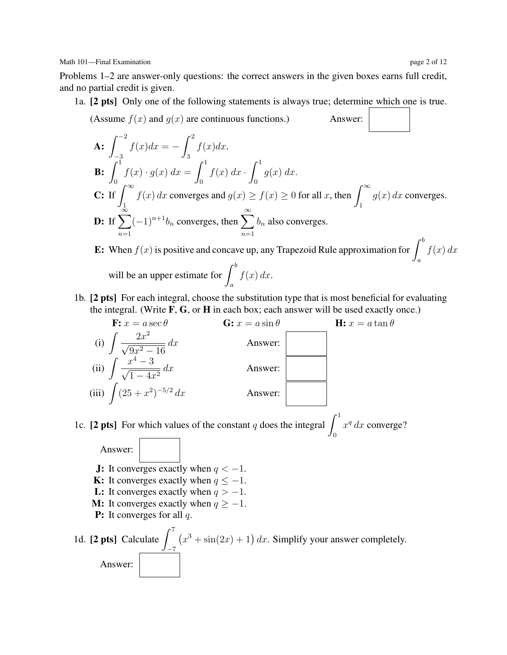Math 101—Final Examination page 2 of 12

Problems 1–2 are answer-only questions: the correct answers in the given boxes earns full credit, and no partial credit is given.

1a. [2 pts] Only one of the following statements is always true; determine which one is true.

(Assume 
$$
f(x)
$$
 and  $g(x)$  are continuous functions.)

\n**A**: 
$$
\int_{-3}^{-2} f(x)dx = -\int_{3}^{2} f(x)dx.
$$

\n**B**: 
$$
\int_{0}^{1} f(x) \cdot g(x) dx = \int_{0}^{1} f(x) dx \cdot \int_{0}^{1} g(x) dx.
$$

\n**C**: If 
$$
\int_{\infty}^{\infty} f(x) dx
$$
 converges and  $g(x) \ge f(x) \ge 0$  for all  $x$ , then 
$$
\int_{1}^{\infty} g(x) dx
$$
 converges.

\n**D**: If 
$$
\sum_{n=1}^{\infty} (-1)^{n+1} b_n
$$
 converges, then 
$$
\sum_{n=1}^{\infty} b_n
$$
 also converges.

\n**E**: When  $f(x)$  is positive and concave up, any Trapezoid Rule approximation for 
$$
\int_{a}^{b} f(x) dx
$$
 will be an upper estimate for 
$$
\int_{a}^{b} f(x) dx
$$
.

1b. [2 pts] For each integral, choose the substitution type that is most beneficial for evaluating the integral. (Write 
$$
F
$$
,  $G$ , or  $H$  in each box; each answer will be used exactly once.)

\n17.  $\frac{d}{dx} = \frac{d}{dx} \left( \frac{F}{dx} \right)^2$ 



1c. [2 pts] For which values of the constant q does the integral  $\int_1^1$ 0  $x^q dx$  converge?

Answer: **J:** It converges exactly when  $q < -1$ . **K:** It converges exactly when  $q \leq -1$ . L: It converges exactly when  $q > -1$ . **M:** It converges exactly when  $q \geq -1$ . **P:** It converges for all  $q$ . 1d. [2 pts] Calculate  $\int_1^7$ −7  $(x^3 + \sin(2x) + 1) dx$ . Simplify your answer completely. Answer: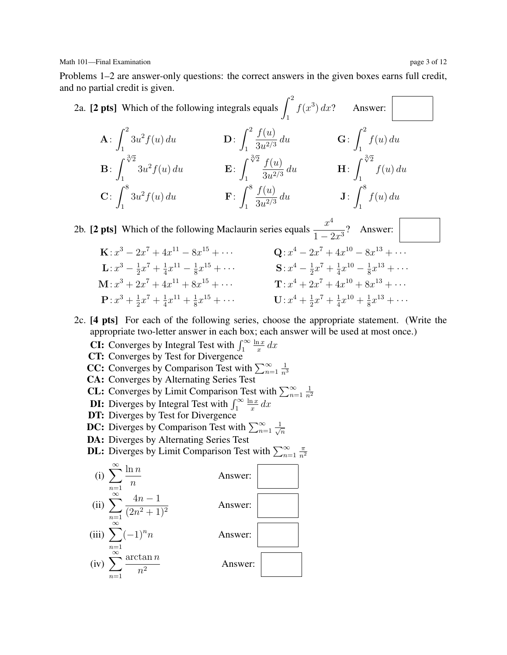Math 101—Final Examination page 3 of 12

Problems 1–2 are answer-only questions: the correct answers in the given boxes earns full credit, and no partial credit is given.

2a. [2 pts] Which of the following integrals equals 
$$
\int_1^2 f(x^3) dx
$$
? Answer:   
\nA:  $\int_1^2 3u^2 f(u) du$   
\nB:  $\int_1^{\sqrt[3]{2}} 3u^2 f(u) du$   
\nC:  $\int_1^8 3u^2 f(u) du$   
\nD:  $\int_1^2 \frac{f(u)}{3u^{2/3}} du$   
\nE:  $\int_1^{\sqrt[3]{2}} \frac{f(u)}{3u^{2/3}} du$   
\nH:  $\int_1^{\sqrt[3]{2}} f(u) du$   
\nC:  $\int_1^8 3u^2 f(u) du$   
\nF:  $\int_1^8 \frac{f(u)}{3u^{2/3}} du$   
\nJ:  $\int_1^8 f(u) du$ 

2b. [2 pts] Which of the following Maclaurin series equals  $\frac{x^4}{1-2x^3}$ ? Answer:

- $\mathbf{K}: x^3 2x^7 + 4x^{11} 8x^{15} + \cdots$  Q: x  $4-2x^7+4x^{10}-8x^{13}+\cdots$  $\mathbf{L}: x^3 - \frac{1}{2}$  $\frac{1}{2}x^7 + \frac{1}{4}$  $\frac{1}{4}x^{11} - \frac{1}{8}$  $\frac{1}{8}x^{15} + \cdots$  S:  $x^4 - \frac{1}{2}$  $\frac{1}{2}x^7 + \frac{1}{4}$  $\frac{1}{4}x^{10} - \frac{1}{8}$  $\frac{1}{8}x^{13} + \cdots$  $\mathbf{M}: x^3 + 2x^7 + 4x^{11} + 8x^{15} + \cdots$   $\mathbf{T}: x^4 + 2x^7 + 4x^{10} + 8x^{13} + \cdots$  ${\bf P}$ :  $x^3 + \frac{1}{2}$  $\frac{1}{2}x^7 + \frac{1}{4}$  $\frac{1}{4}x^{11} + \frac{1}{8}$  $\frac{1}{8}x^{15} + \cdots$  U:  $x^4 + \frac{1}{2}$  $\frac{1}{2}x^7 + \frac{1}{4}$  $\frac{1}{4}x^{10} + \frac{1}{8}$  $\frac{1}{8}x^{13} + \cdots$
- 2c. [4 pts] For each of the following series, choose the appropriate statement. (Write the appropriate two-letter answer in each box; each answer will be used at most once.)
	- **CI:** Converges by Integral Test with  $\int_1^{\infty}$  $ln x$  $rac{1}{x}$  dx
	- CT: Converges by Test for Divergence
	- **CC:** Converges by Comparison Test with  $\sum_{n=1}^{\infty}$ 1  $\overline{n}^3$
	- CA: Converges by Alternating Series Test
	- **CL:** Converges by Limit Comparison Test with  $\sum_{n=1}^{\infty}$ 1  $\overline{n^2}$
	- **DI:** Diverges by Integral Test with  $\int_1^\infty$  $ln x$  $rac{1}{x}$  dx
	- DT: Diverges by Test for Divergence
	- **DC:** Diverges by Comparison Test with  $\sum_{n=1}^{\infty} \frac{1}{\sqrt{n}}$  $\overline{n}$
	- DA: Diverges by Alternating Series Test
	- **DL:** Diverges by Limit Comparison Test with  $\sum_{n=1}^{\infty}$  $\pi$  $\overline{n^2}$

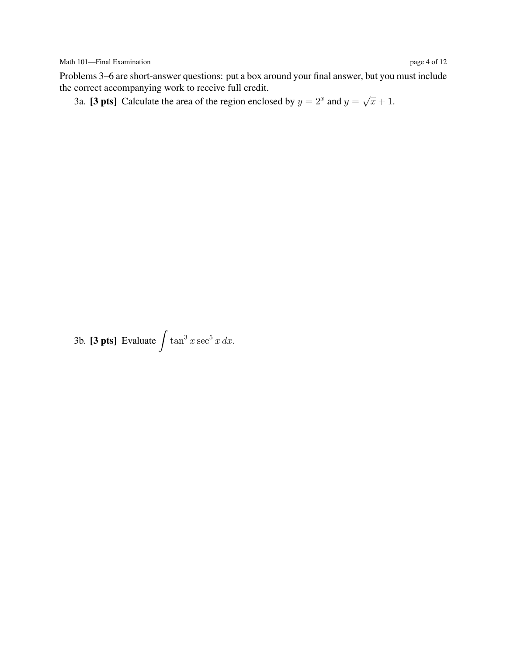Problems 3–6 are short-answer questions: put a box around your final answer, but you must include the correct accompanying work to receive full credit. √

3a. [3 pts] Calculate the area of the region enclosed by  $y = 2^x$  and  $y = 2^x$  $\overline{x}+1$ .

3b. [3 pts] Evaluate  $\int \tan^3 x \sec^5 x \, dx$ .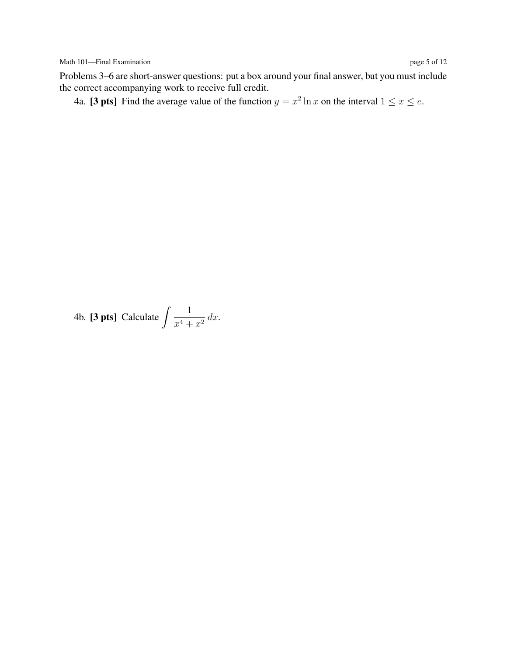Problems 3–6 are short-answer questions: put a box around your final answer, but you must include the correct accompanying work to receive full credit.

4a. [3 pts] Find the average value of the function  $y = x^2 \ln x$  on the interval  $1 \le x \le e$ .

4b. **[3 pts]** Calculate 
$$
\int \frac{1}{x^4 + x^2} dx
$$
.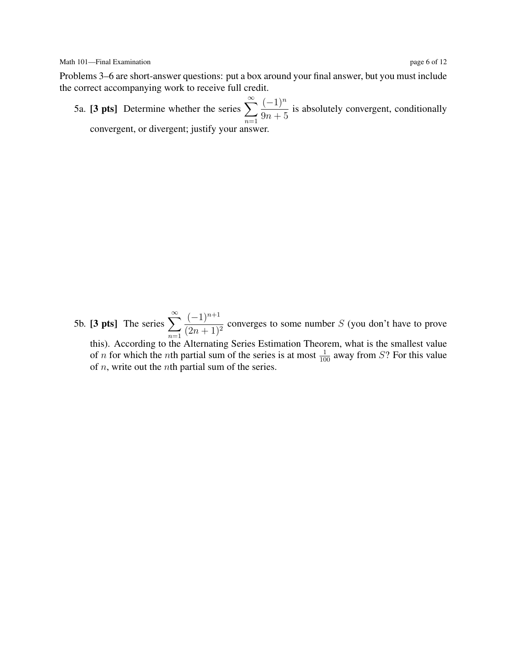Problems 3–6 are short-answer questions: put a box around your final answer, but you must include the correct accompanying work to receive full credit.

5a. [3 pts] Determine whether the series  $\sum_{n=1}^{\infty}$  $n=1$  $(-1)^n$  $\frac{(1)}{9n+5}$  is absolutely convergent, conditionally convergent, or divergent; justify your answer.

5b. [3 pts] The series  $\sum_{n=1}^{\infty}$  $n=1$  $(-1)^{n+1}$  $\frac{(1)}{(2n+1)^2}$  converges to some number S (you don't have to prove this). According to the Alternating Series Estimation Theorem, what is the smallest value of *n* for which the *n*th partial sum of the series is at most  $\frac{1}{100}$  away from *S*? For this value of  $n$ , write out the *n*th partial sum of the series.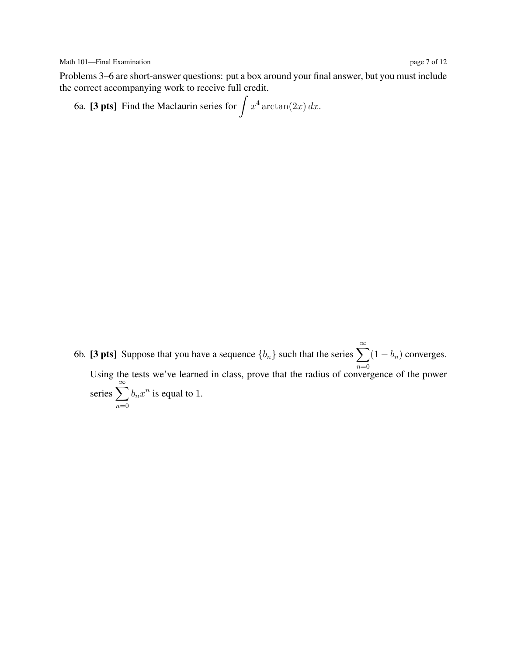Problems 3–6 are short-answer questions: put a box around your final answer, but you must include the correct accompanying work to receive full credit.

6a. **[3 pts]** Find the Maclaurin series for 
$$
\int x^4 \arctan(2x) dx
$$
.

6b. [3 pts] Suppose that you have a sequence  $\{b_n\}$  such that the series  $\sum_{n=0}^{\infty} (1 - b_n)$  converges. Using the tests we've learned in class, prove that the radius of convergence of the power series  $\sum_{n=1}^{\infty}$  $n=0$  $b_n x^n$  is equal to 1.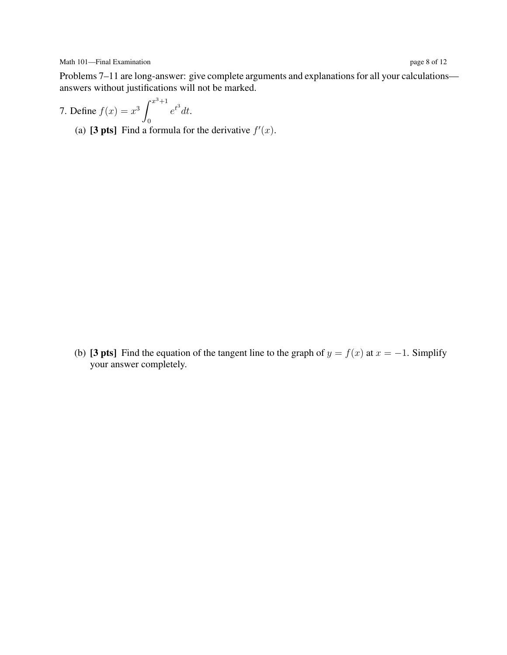Problems 7–11 are long-answer: give complete arguments and explanations for all your calculations answers without justifications will not be marked.

7. Define 
$$
f(x) = x^3 \int_0^{x^3+1} e^{t^3} dt
$$
.

(a) [3 pts] Find a formula for the derivative  $f'(x)$ .

(b) [3 pts] Find the equation of the tangent line to the graph of  $y = f(x)$  at  $x = -1$ . Simplify your answer completely.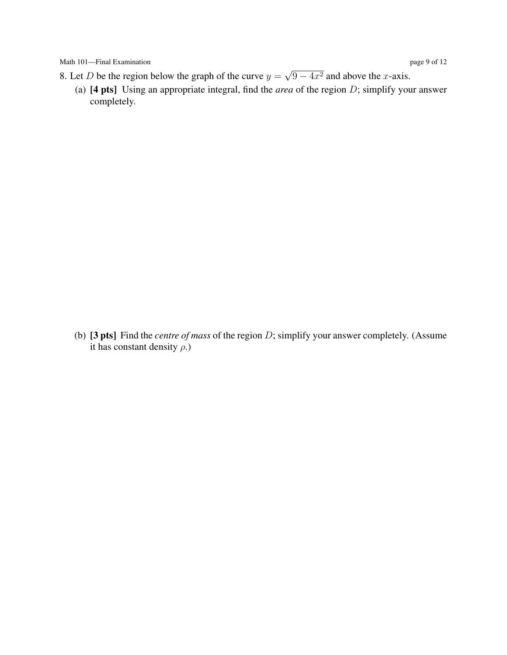- 8. Let D be the region below the graph of the curve  $y =$ √  $\sqrt{9-4x^2}$  and above the x-axis.
	- (a) [4 pts] Using an appropriate integral, find the *area* of the region D; simplify your answer completely.

(b) [3 pts] Find the *centre of mass* of the region D; simplify your answer completely. (Assume it has constant density  $\rho$ .)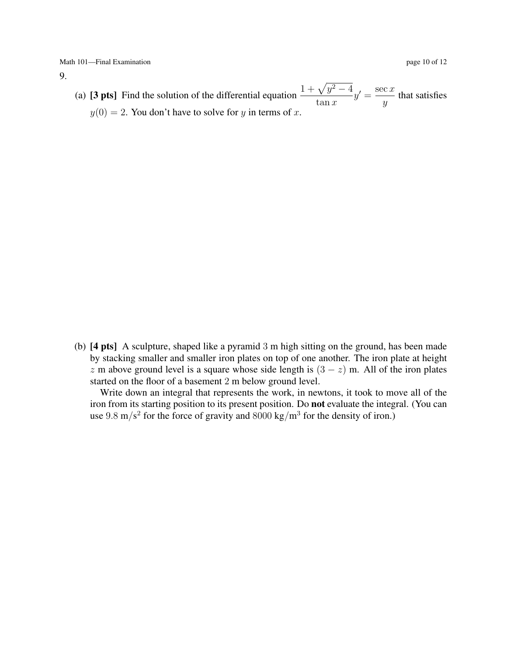9.

(a) [3 pts] Find the solution of the differential equation  $\frac{1 + \sqrt{y^2 - 4}}{1}$  $\tan x$  $y' = \frac{\sec x}{2}$  $\frac{y}{y}$  that satisfies  $y(0) = 2$ . You don't have to solve for y in terms of x.

(b) [4 pts] A sculpture, shaped like a pyramid 3 m high sitting on the ground, has been made by stacking smaller and smaller iron plates on top of one another. The iron plate at height z m above ground level is a square whose side length is  $(3 - z)$  m. All of the iron plates started on the floor of a basement 2 m below ground level.

Write down an integral that represents the work, in newtons, it took to move all of the iron from its starting position to its present position. Do not evaluate the integral. (You can use  $9.8 \text{ m/s}^2$  for the force of gravity and  $8000 \text{ kg/m}^3$  for the density of iron.)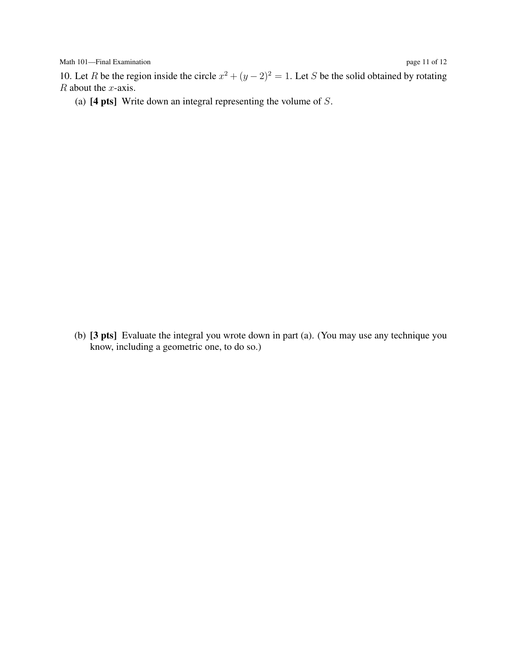Math 101—Final Examination page 11 of 12

10. Let R be the region inside the circle  $x^2 + (y - 2)^2 = 1$ . Let S be the solid obtained by rotating  $R$  about the  $x$ -axis.

(a)  $[4 \text{ pts}]$  Write down an integral representing the volume of S.

(b) [3 pts] Evaluate the integral you wrote down in part (a). (You may use any technique you know, including a geometric one, to do so.)